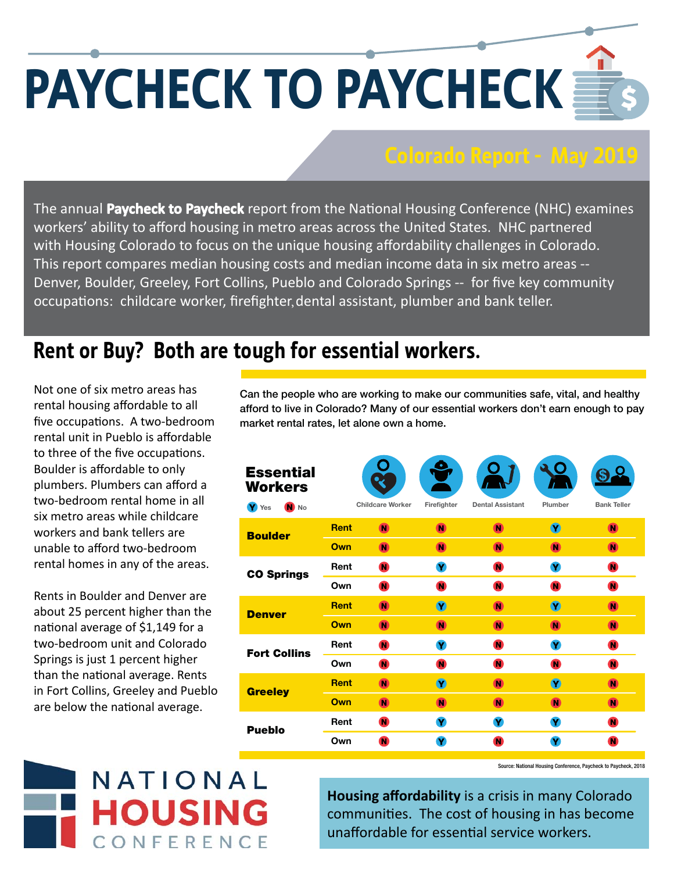## **PAYCHECK TO PAYCHECK**

## **Colorado Report - May 2019**

The annual Paycheck to Paycheck report from the National Housing Conference (NHC) examines workers' ability to afford housing in metro areas across the United States. NHC partnered with Housing Colorado to focus on the unique housing affordability challenges in Colorado. This report compares median housing costs and median income data in six metro areas -- Denver, Boulder, Greeley, Fort Collins, Pueblo and Colorado Springs -- for five key community occupations: childcare worker, firefighter, dental assistant, plumber and bank teller.

## **Rent or buy? Both are tough for essential workers. Rent or Buy? Both are tough for essential workers.**

Not one of six metro areas has rental housing affordable to all five occupations. A two-bedroom rental unit in Pueblo is affordable to three of the five occupations. Boulder is affordable to only plumbers. Plumbers can afford a two-bedroom rental home in all six metro areas while childcare workers and bank tellers are unable to afford two-bedroom rental homes in any of the areas.

Rents in Boulder and Denver are about 25 percent higher than the national average of \$1,149 for a two-bedroom unit and Colorado Springs is just 1 percent higher than the national average. Rents in Fort Collins, Greeley and Pueblo are below the national average.

**Can the people who are working to make our communities safe, vital, and healthy afford to live in Colorado? Many of our essential workers don't earn enough to pay market rental rates, let alone own a home.**

| <b>Essential</b><br><b>Workers</b><br>N No<br>Y Yes |             | <b>Childcare Worker</b> | o<br>Firefighter                     | <b>Dental Assistant</b> | Plumber                              | <b>Bank Teller</b> |
|-----------------------------------------------------|-------------|-------------------------|--------------------------------------|-------------------------|--------------------------------------|--------------------|
| <b>Boulder</b>                                      | <b>Rent</b> | $\overline{\mathbf{N}}$ | <b>N</b>                             | M                       | $\left( \widehat{\mathbf{Y}}\right)$ | N                  |
|                                                     | Own         | O                       | N)                                   | $\bf{N}$                | $\bf{C}$                             | N)                 |
| <b>CO Springs</b>                                   | Rent        | $\bullet$               | Y                                    | $\bullet$               | Y                                    | $\bullet$          |
|                                                     | Own         | ⋒                       | $\bullet$                            | $\bf{a}$                | O                                    | $\bullet$          |
| <b>Denver</b>                                       | <b>Rent</b> | <b>N</b>                | $\left( \widehat{\mathbf{Y}}\right)$ | $\blacksquare$          | $(\hat{\mathbf{Y}})$                 | M                  |
|                                                     | Own         | $\blacksquare$          | $\blacksquare$                       | M                       | <b>N</b>                             | M                  |
| <b>Fort Collins</b>                                 | Rent        | $\bullet$               | Y                                    | $\bullet$               | Y                                    | $\bullet$          |
|                                                     | Own         | $\bullet$               | $\bullet$                            | ⋒                       | $\bullet$                            | O                  |
| <b>Greeley</b>                                      | <b>Rent</b> | M                       | $\left( \mathbf{V}\right)$           | $\bf{N}$                | $\left( \mathbf{V}\right)$           | $\bf{O}$           |
|                                                     | Own         | M                       | $\bf{C}$                             | M                       | N)                                   | N                  |
| <b>Pueblo</b>                                       | Rent        | $\bullet$               | $\mathbf v$                          | Y                       | Y                                    | $\bullet$          |
|                                                     | Own         | Œ                       | Y                                    | O                       | Y                                    | O                  |



Source: National Housing Conference, Paycheck to Paycheck, 2018

**Housing aff ordability** is a crisis in many Colorado communities. The cost of housing in has become unaffordable for essential service workers.